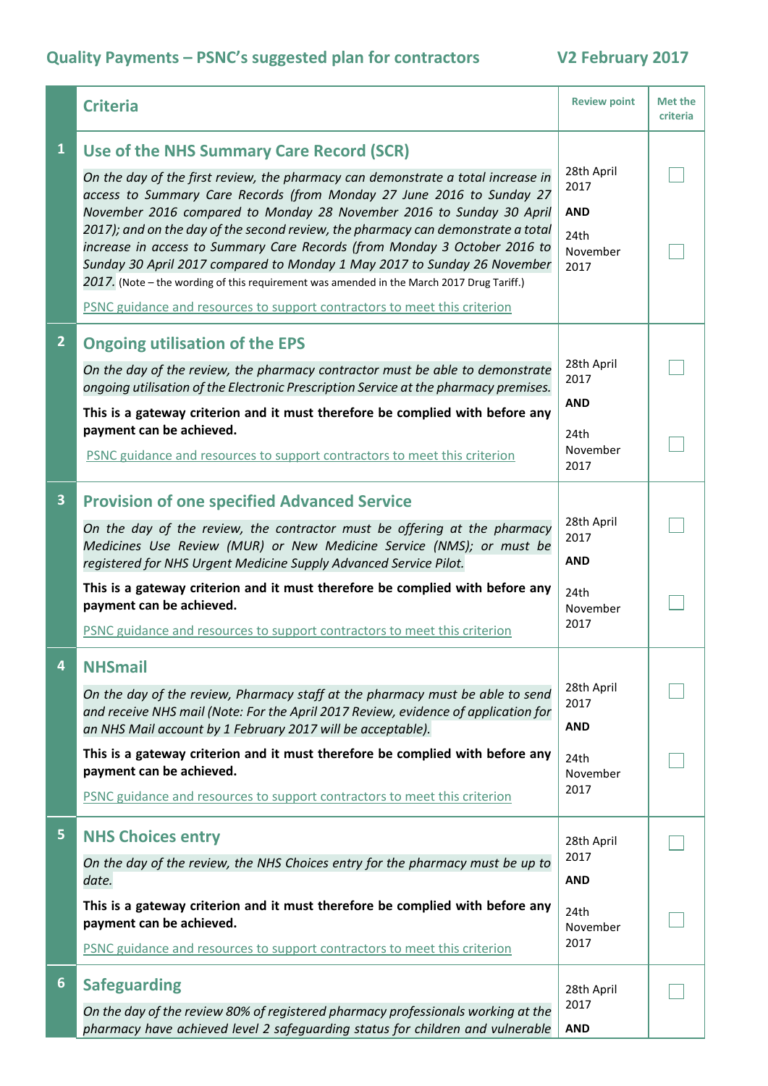## **Quality Payments – PSNC's suggested plan for contractors V2 February 2017**

|                         | <b>Criteria</b>                                                                                                                                                                                                                                                                                                                                                                                                                                                                                                                                                                                                                                                                                      | <b>Review point</b>                                          | Met the<br>criteria |
|-------------------------|------------------------------------------------------------------------------------------------------------------------------------------------------------------------------------------------------------------------------------------------------------------------------------------------------------------------------------------------------------------------------------------------------------------------------------------------------------------------------------------------------------------------------------------------------------------------------------------------------------------------------------------------------------------------------------------------------|--------------------------------------------------------------|---------------------|
| $\mathbf{1}$            | Use of the NHS Summary Care Record (SCR)<br>On the day of the first review, the pharmacy can demonstrate a total increase in<br>access to Summary Care Records (from Monday 27 June 2016 to Sunday 27<br>November 2016 compared to Monday 28 November 2016 to Sunday 30 April<br>2017); and on the day of the second review, the pharmacy can demonstrate a total<br>increase in access to Summary Care Records (from Monday 3 October 2016 to<br>Sunday 30 April 2017 compared to Monday 1 May 2017 to Sunday 26 November<br>2017. (Note - the wording of this requirement was amended in the March 2017 Drug Tariff.)<br>PSNC guidance and resources to support contractors to meet this criterion | 28th April<br>2017<br><b>AND</b><br>24th<br>November<br>2017 |                     |
| $\overline{2}$          | <b>Ongoing utilisation of the EPS</b><br>On the day of the review, the pharmacy contractor must be able to demonstrate<br>ongoing utilisation of the Electronic Prescription Service at the pharmacy premises.<br>This is a gateway criterion and it must therefore be complied with before any<br>payment can be achieved.                                                                                                                                                                                                                                                                                                                                                                          | 28th April<br>2017<br><b>AND</b><br>24th                     |                     |
|                         | PSNC guidance and resources to support contractors to meet this criterion                                                                                                                                                                                                                                                                                                                                                                                                                                                                                                                                                                                                                            | November<br>2017                                             |                     |
| $\overline{\mathbf{3}}$ | <b>Provision of one specified Advanced Service</b><br>On the day of the review, the contractor must be offering at the pharmacy<br>Medicines Use Review (MUR) or New Medicine Service (NMS); or must be<br>registered for NHS Urgent Medicine Supply Advanced Service Pilot.                                                                                                                                                                                                                                                                                                                                                                                                                         | 28th April<br>2017<br><b>AND</b>                             |                     |
|                         | This is a gateway criterion and it must therefore be complied with before any<br>payment can be achieved.<br>PSNC guidance and resources to support contractors to meet this criterion                                                                                                                                                                                                                                                                                                                                                                                                                                                                                                               | 24th<br>November<br>2017                                     |                     |
|                         | <b>NHSmail</b><br>On the day of the review, Pharmacy staff at the pharmacy must be able to send<br>and receive NHS mail (Note: For the April 2017 Review, evidence of application for<br>an NHS Mail account by 1 February 2017 will be acceptable).<br>This is a gateway criterion and it must therefore be complied with before any<br>payment can be achieved.                                                                                                                                                                                                                                                                                                                                    | 28th April<br>2017<br><b>AND</b><br>24th                     |                     |
|                         | PSNC guidance and resources to support contractors to meet this criterion                                                                                                                                                                                                                                                                                                                                                                                                                                                                                                                                                                                                                            | November<br>2017                                             |                     |
| 5                       | <b>NHS Choices entry</b><br>On the day of the review, the NHS Choices entry for the pharmacy must be up to<br>date.                                                                                                                                                                                                                                                                                                                                                                                                                                                                                                                                                                                  | 28th April<br>2017<br><b>AND</b>                             |                     |
|                         | This is a gateway criterion and it must therefore be complied with before any<br>payment can be achieved.<br>PSNC guidance and resources to support contractors to meet this criterion                                                                                                                                                                                                                                                                                                                                                                                                                                                                                                               | 24th<br>November<br>2017                                     |                     |
| $6\phantom{1}$          | <b>Safeguarding</b><br>On the day of the review 80% of registered pharmacy professionals working at the<br>pharmacy have achieved level 2 safeguarding status for children and vulnerable                                                                                                                                                                                                                                                                                                                                                                                                                                                                                                            | 28th April<br>2017<br><b>AND</b>                             |                     |